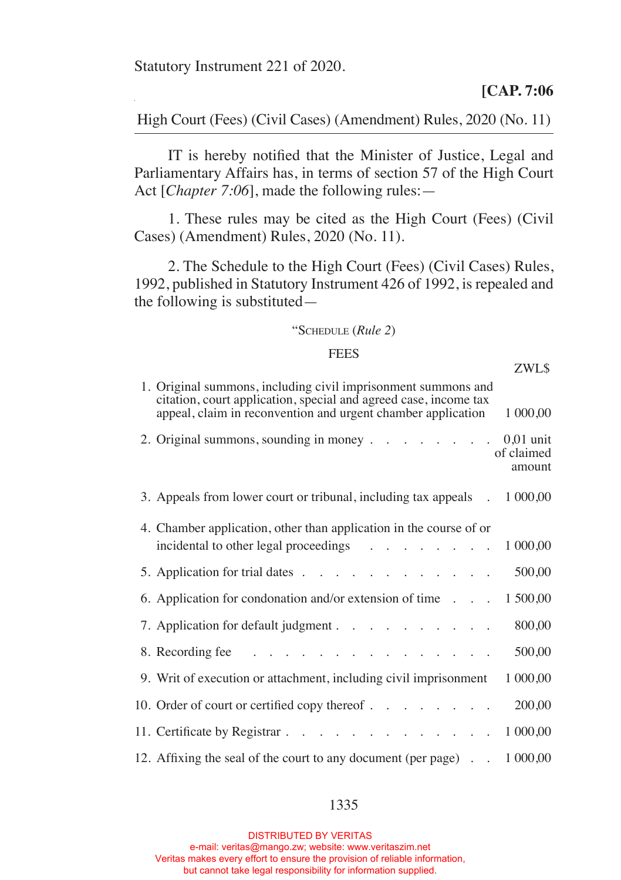Statutory Instrument 221 of 2020.

**[CAP. 7:06**

High Court (Fees) (Civil Cases) (Amendment) Rules, 2020 (No. 11)

 IT is hereby notified that the Minister of Justice, Legal and Parliamentary Affairs has, in terms of section 57 of the High Court Act [*Chapter 7:06*], made the following rules:—

 1. These rules may be cited as the High Court (Fees) (Civil Cases) (Amendment) Rules, 2020 (No. 11).

 2. The Schedule to the High Court (Fees) (Civil Cases) Rules, 1992, published in Statutory Instrument 426 of 1992, is repealed and the following is substituted—

## "Schedule (*Rule 2*)

## **FEES**

|                                                                                                                                                                                                   | ZWL\$                |
|---------------------------------------------------------------------------------------------------------------------------------------------------------------------------------------------------|----------------------|
| 1. Original summons, including civil imprisonment summons and<br>citation, court application, special and agreed case, income tax<br>appeal, claim in reconvention and urgent chamber application | 1 000,00             |
| 2. Original summons, sounding in money 0,01 unit                                                                                                                                                  | of claimed<br>amount |
| 3. Appeals from lower court or tribunal, including tax appeals . 1 000,00                                                                                                                         |                      |
| 4. Chamber application, other than application in the course of or<br>incidental to other legal proceedings 1000,00                                                                               |                      |
| 5. Application for trial dates                                                                                                                                                                    | 500,00               |
| 6. Application for condonation and/or extension of time                                                                                                                                           | 1 500,00             |
| 7. Application for default judgment                                                                                                                                                               | 800,00               |
| 8. Recording fee $\ldots$ $\ldots$ $\ldots$ $\ldots$ $\ldots$ $\ldots$ $\ldots$                                                                                                                   | 500,00               |
| 9. Writ of execution or attachment, including civil imprisonment                                                                                                                                  | 1 000,00             |
| 10. Order of court or certified copy thereof                                                                                                                                                      | 200,00               |
| 11. Certificate by Registrar.                                                                                                                                                                     | 1 000,00             |
| 12. Affixing the seal of the court to any document (per page) 1 000,00                                                                                                                            |                      |

DISTRIBUTED BY VERITAS e-mail: veritas@mango.zw; website: www.veritaszim.net Veritas makes every effort to ensure the provision of reliable information, but cannot take legal responsibility for information supplied.